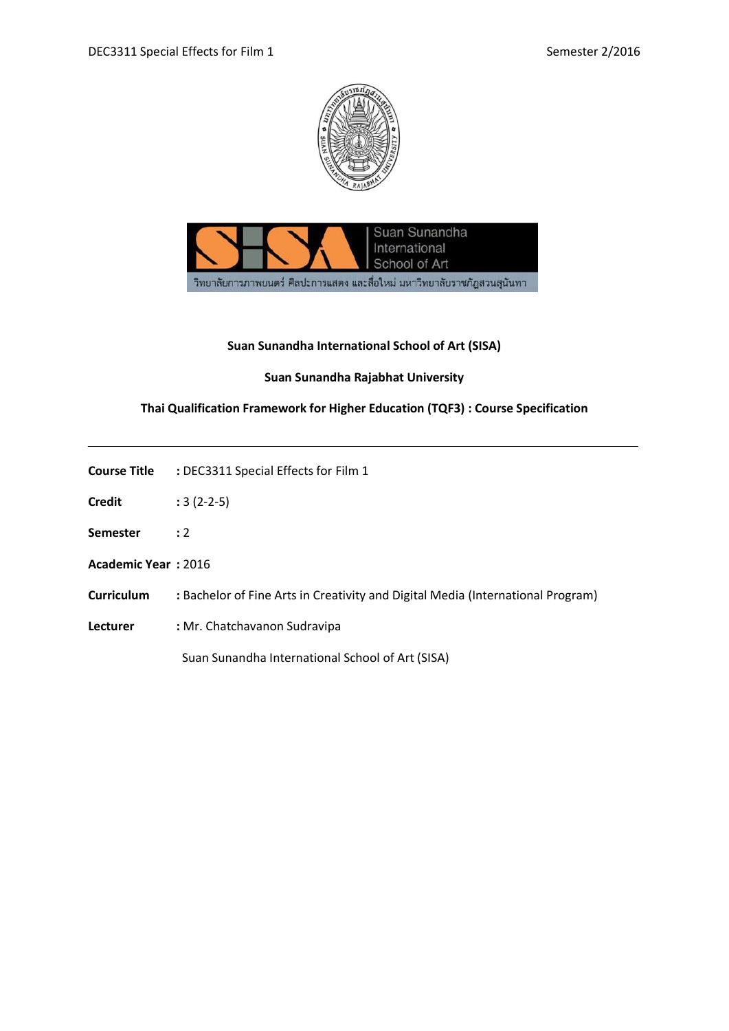



# **Suan Sunandha International School of Art (SISA)**

## **Suan Sunandha Rajabhat University**

# **Thai Qualification Framework for Higher Education (TQF3) : Course Specification**

| Course Title | : DEC3311 Special Effects for Film 1 |  |  |  |
|--------------|--------------------------------------|--|--|--|
|              |                                      |  |  |  |

- **Credit :** 3 (2-2-5)
- **Semester :** 2
- **Academic Year :** 2016
- **Curriculum :** Bachelor of Fine Arts in Creativity and Digital Media (International Program)
- **Lecturer :** Mr. Chatchavanon Sudravipa

Suan Sunandha International School of Art (SISA)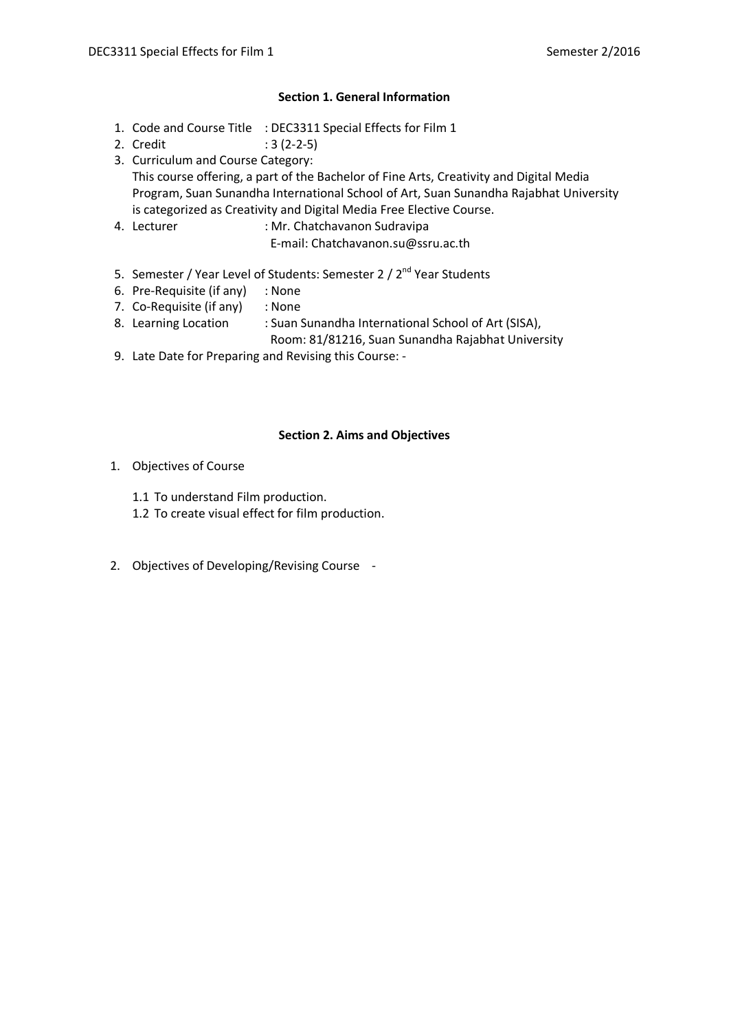## **Section 1. General Information**

- 1. Code and Course Title : DEC3311 Special Effects for Film 1
- 2. Credit : 3 (2-2-5)
- 3. Curriculum and Course Category: This course offering, a part of the Bachelor of Fine Arts, Creativity and Digital Media Program, Suan Sunandha International School of Art, Suan Sunandha Rajabhat University is categorized as Creativity and Digital Media Free Elective Course.
- 4. Lecturer : Mr. Chatchavanon Sudravipa
	- E-mail: Chatchavanon.su@ssru.ac.th
- 5. Semester / Year Level of Students: Semester 2 / 2<sup>nd</sup> Year Students
- 6. Pre-Requisite (if any) : None
- 7. Co-Requisite (if any) : None
- 8. Learning Location : Suan Sunandha International School of Art (SISA),
	- Room: 81/81216, Suan Sunandha Rajabhat University
- 9. Late Date for Preparing and Revising this Course: -

## **Section 2. Aims and Objectives**

- 1. Objectives of Course
	- 1.1 To understand Film production.
	- 1.2 To create visual effect for film production.
- 2. Objectives of Developing/Revising Course -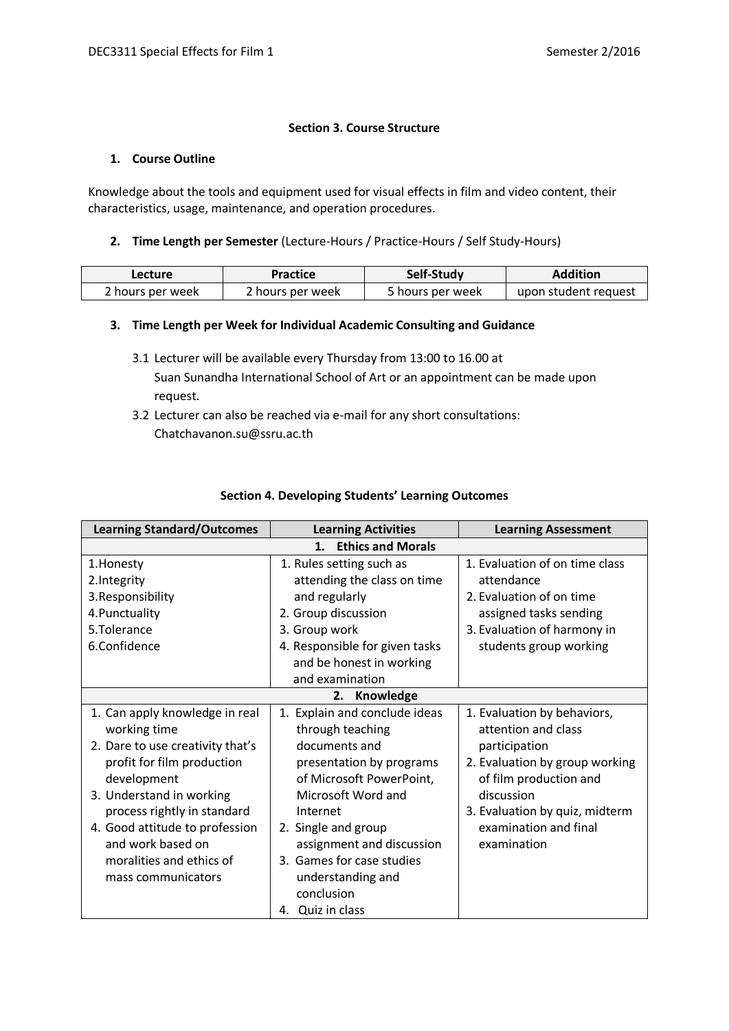## **Section 3. Course Structure**

## **1. Course Outline**

Knowledge about the tools and equipment used for visual effects in film and video content, their characteristics, usage, maintenance, and operation procedures.

## **2. Time Length per Semester** (Lecture-Hours / Practice-Hours / Self Study-Hours)

| Lecture          | <b>Practice</b>  | Self-Study       | <b>Addition</b>      |
|------------------|------------------|------------------|----------------------|
| 2 hours per week | ? hours per week | 5 hours per week | upon student request |

## **3. Time Length per Week for Individual Academic Consulting and Guidance**

- 3.1 Lecturer will be available every Thursday from 13:00 to 16.00 at Suan Sunandha International School of Art or an appointment can be made upon request.
- 3.2 Lecturer can also be reached via e-mail for any short consultations: Chatchavanon.su@ssru.ac.th

| <b>Learning Standard/Outcomes</b> | <b>Learning Activities</b>                 | <b>Learning Assessment</b>     |  |  |  |  |
|-----------------------------------|--------------------------------------------|--------------------------------|--|--|--|--|
|                                   | <b>Ethics and Morals</b><br>$\mathbf{1}$ . |                                |  |  |  |  |
| 1. Honesty                        | 1. Rules setting such as                   | 1. Evaluation of on time class |  |  |  |  |
| 2.Integrity                       | attending the class on time                | attendance                     |  |  |  |  |
| 3. Responsibility                 | and regularly                              | 2. Evaluation of on time       |  |  |  |  |
| 4. Punctuality                    | 2. Group discussion                        | assigned tasks sending         |  |  |  |  |
| 5.Tolerance                       | 3. Group work                              | 3. Evaluation of harmony in    |  |  |  |  |
| 6.Confidence                      | 4. Responsible for given tasks             | students group working         |  |  |  |  |
|                                   | and be honest in working                   |                                |  |  |  |  |
|                                   | and examination                            |                                |  |  |  |  |
|                                   | Knowledge<br>2.                            |                                |  |  |  |  |
| 1. Can apply knowledge in real    | 1. Explain and conclude ideas              | 1. Evaluation by behaviors,    |  |  |  |  |
| working time                      | through teaching                           | attention and class            |  |  |  |  |
| 2. Dare to use creativity that's  | documents and                              | participation                  |  |  |  |  |
| profit for film production        | presentation by programs                   | 2. Evaluation by group working |  |  |  |  |
| development                       | of Microsoft PowerPoint,                   | of film production and         |  |  |  |  |
| 3. Understand in working          | Microsoft Word and                         | discussion                     |  |  |  |  |
| process rightly in standard       | Internet                                   | 3. Evaluation by quiz, midterm |  |  |  |  |
| 4. Good attitude to profession    | 2. Single and group                        | examination and final          |  |  |  |  |
| and work based on                 | assignment and discussion                  | examination                    |  |  |  |  |
| moralities and ethics of          | 3. Games for case studies                  |                                |  |  |  |  |
| mass communicators                | understanding and                          |                                |  |  |  |  |
|                                   | conclusion                                 |                                |  |  |  |  |
|                                   | Quiz in class<br>4.                        |                                |  |  |  |  |

## **Section 4. Developing Students' Learning Outcomes**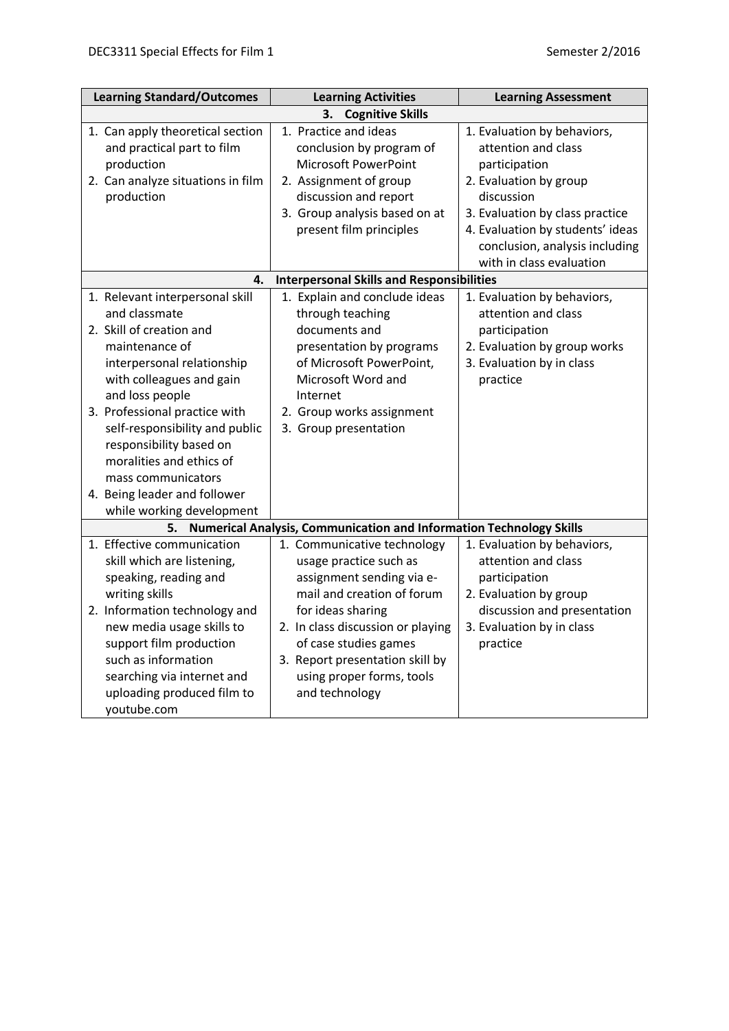| <b>Learning Standard/Outcomes</b>                                                                                                                                                                                                                                                                                                                                                        | <b>Learning Activities</b>                                                                                                                                                                                         | <b>Learning Assessment</b>                                                                                                                                                                                                                       |  |  |  |
|------------------------------------------------------------------------------------------------------------------------------------------------------------------------------------------------------------------------------------------------------------------------------------------------------------------------------------------------------------------------------------------|--------------------------------------------------------------------------------------------------------------------------------------------------------------------------------------------------------------------|--------------------------------------------------------------------------------------------------------------------------------------------------------------------------------------------------------------------------------------------------|--|--|--|
| <b>Cognitive Skills</b><br>3.                                                                                                                                                                                                                                                                                                                                                            |                                                                                                                                                                                                                    |                                                                                                                                                                                                                                                  |  |  |  |
| 1. Can apply theoretical section<br>and practical part to film<br>production<br>2. Can analyze situations in film<br>production                                                                                                                                                                                                                                                          | 1. Practice and ideas<br>conclusion by program of<br><b>Microsoft PowerPoint</b><br>2. Assignment of group<br>discussion and report<br>3. Group analysis based on at<br>present film principles                    | 1. Evaluation by behaviors,<br>attention and class<br>participation<br>2. Evaluation by group<br>discussion<br>3. Evaluation by class practice<br>4. Evaluation by students' ideas<br>conclusion, analysis including<br>with in class evaluation |  |  |  |
| 4.                                                                                                                                                                                                                                                                                                                                                                                       | <b>Interpersonal Skills and Responsibilities</b>                                                                                                                                                                   |                                                                                                                                                                                                                                                  |  |  |  |
| 1. Relevant interpersonal skill<br>and classmate<br>2. Skill of creation and<br>maintenance of<br>interpersonal relationship<br>with colleagues and gain<br>and loss people<br>3. Professional practice with<br>self-responsibility and public<br>responsibility based on<br>moralities and ethics of<br>mass communicators<br>4. Being leader and follower<br>while working development | 1. Explain and conclude ideas<br>through teaching<br>documents and<br>presentation by programs<br>of Microsoft PowerPoint,<br>Microsoft Word and<br>Internet<br>2. Group works assignment<br>3. Group presentation | 1. Evaluation by behaviors,<br>attention and class<br>participation<br>2. Evaluation by group works<br>3. Evaluation by in class<br>practice                                                                                                     |  |  |  |
| 5.                                                                                                                                                                                                                                                                                                                                                                                       | Numerical Analysis, Communication and Information Technology Skills                                                                                                                                                |                                                                                                                                                                                                                                                  |  |  |  |
| 1. Effective communication<br>skill which are listening,<br>speaking, reading and<br>writing skills<br>2. Information technology and                                                                                                                                                                                                                                                     | 1. Communicative technology<br>usage practice such as<br>assignment sending via e-<br>mail and creation of forum<br>for ideas sharing                                                                              | 1. Evaluation by behaviors,<br>attention and class<br>participation<br>2. Evaluation by group<br>discussion and presentation                                                                                                                     |  |  |  |
| new media usage skills to<br>support film production<br>such as information<br>searching via internet and<br>uploading produced film to<br>youtube.com                                                                                                                                                                                                                                   | 2. In class discussion or playing<br>of case studies games<br>3. Report presentation skill by<br>using proper forms, tools<br>and technology                                                                       | 3. Evaluation by in class<br>practice                                                                                                                                                                                                            |  |  |  |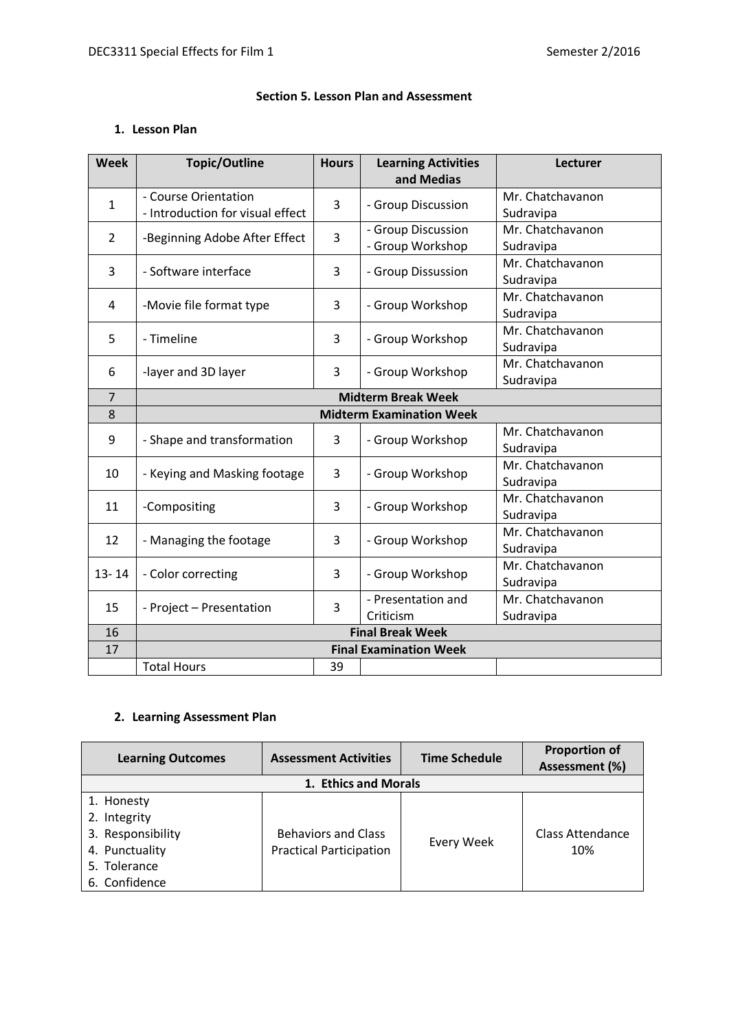# **Section 5. Lesson Plan and Assessment**

# **1. Lesson Plan**

| <b>Week</b>    | <b>Topic/Outline</b>                                     | <b>Hours</b> | <b>Learning Activities</b><br>and Medias | Lecturer                      |  |
|----------------|----------------------------------------------------------|--------------|------------------------------------------|-------------------------------|--|
| $\mathbf{1}$   | - Course Orientation<br>- Introduction for visual effect | 3            | - Group Discussion                       | Mr. Chatchavanon<br>Sudravipa |  |
| $\overline{2}$ | -Beginning Adobe After Effect                            | 3            | - Group Discussion<br>- Group Workshop   | Mr. Chatchavanon<br>Sudravipa |  |
| 3              | - Software interface                                     | 3            | - Group Dissussion                       | Mr. Chatchavanon<br>Sudravipa |  |
| 4              | -Movie file format type                                  | 3            | - Group Workshop                         | Mr. Chatchavanon<br>Sudravipa |  |
| 5              | - Timeline                                               | 3            | - Group Workshop                         | Mr. Chatchavanon<br>Sudravipa |  |
| 6              | -layer and 3D layer                                      | 3            | - Group Workshop                         | Mr. Chatchavanon<br>Sudravipa |  |
| $\overline{7}$ | <b>Midterm Break Week</b>                                |              |                                          |                               |  |
| 8              |                                                          |              | <b>Midterm Examination Week</b>          |                               |  |
| 9              | - Shape and transformation                               | 3            | - Group Workshop                         | Mr. Chatchavanon<br>Sudravipa |  |
| 10             | - Keying and Masking footage                             | 3            | - Group Workshop                         | Mr. Chatchavanon<br>Sudravipa |  |
| 11             | -Compositing                                             | 3            | - Group Workshop                         | Mr. Chatchavanon<br>Sudravipa |  |
| 12             | - Managing the footage                                   | 3            | - Group Workshop                         | Mr. Chatchavanon<br>Sudravipa |  |
| $13 - 14$      | - Color correcting                                       | 3            | - Group Workshop                         | Mr. Chatchavanon<br>Sudravipa |  |
| 15             | - Project - Presentation                                 | 3            | - Presentation and<br>Criticism          | Mr. Chatchavanon<br>Sudravipa |  |
| 16             | <b>Final Break Week</b>                                  |              |                                          |                               |  |
| 17             | <b>Final Examination Week</b>                            |              |                                          |                               |  |
|                | <b>Total Hours</b>                                       | 39           |                                          |                               |  |

# **2. Learning Assessment Plan**

| <b>Learning Outcomes</b>                                                                           | <b>Assessment Activities</b>                                 | <b>Time Schedule</b> | <b>Proportion of</b><br>Assessment (%) |
|----------------------------------------------------------------------------------------------------|--------------------------------------------------------------|----------------------|----------------------------------------|
|                                                                                                    | 1. Ethics and Morals                                         |                      |                                        |
| 1. Honesty<br>2. Integrity<br>3. Responsibility<br>4. Punctuality<br>5. Tolerance<br>6. Confidence | <b>Behaviors and Class</b><br><b>Practical Participation</b> | Every Week           | <b>Class Attendance</b><br>10%         |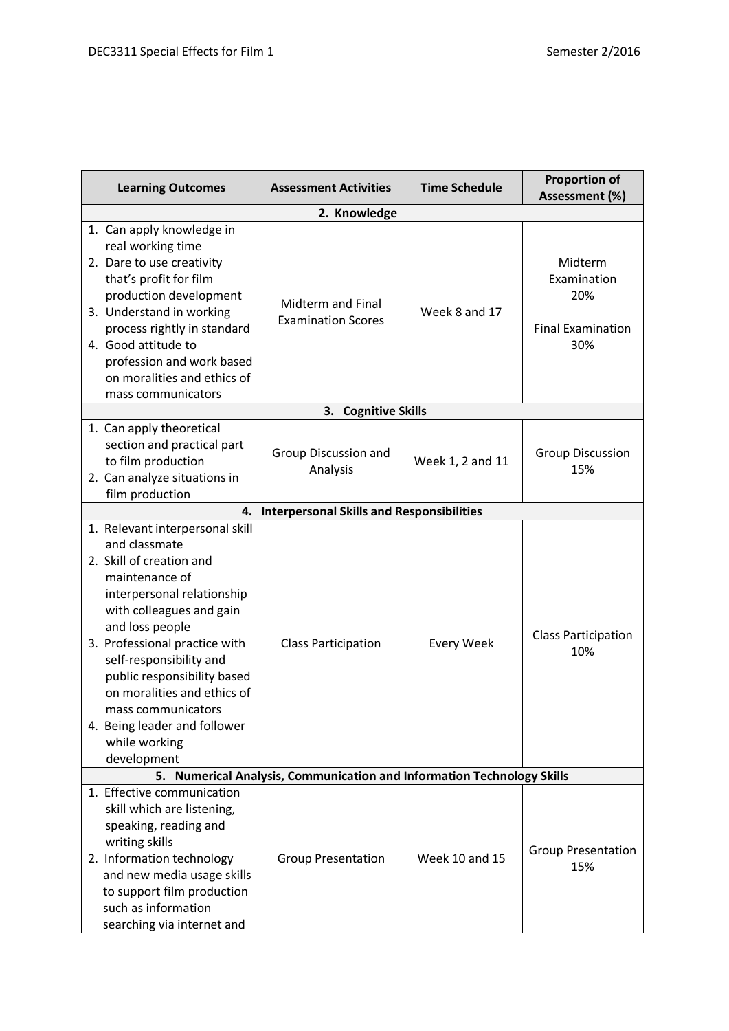| <b>Learning Outcomes</b>                                                                                                                                                                                                                                                                                                                                                                    | <b>Assessment Activities</b>                                               | <b>Time Schedule</b>  | <b>Proportion of</b><br>Assessment (%)                           |
|---------------------------------------------------------------------------------------------------------------------------------------------------------------------------------------------------------------------------------------------------------------------------------------------------------------------------------------------------------------------------------------------|----------------------------------------------------------------------------|-----------------------|------------------------------------------------------------------|
|                                                                                                                                                                                                                                                                                                                                                                                             |                                                                            |                       |                                                                  |
| 1. Can apply knowledge in<br>real working time<br>2. Dare to use creativity<br>that's profit for film<br>production development<br>3. Understand in working<br>process rightly in standard<br>4. Good attitude to<br>profession and work based<br>on moralities and ethics of<br>mass communicators                                                                                         | Midterm and Final<br><b>Examination Scores</b>                             | Week 8 and 17         | Midterm<br>Examination<br>20%<br><b>Final Examination</b><br>30% |
|                                                                                                                                                                                                                                                                                                                                                                                             | <b>Cognitive Skills</b><br>З.                                              |                       |                                                                  |
| 1. Can apply theoretical<br>section and practical part<br>to film production<br>2. Can analyze situations in<br>film production                                                                                                                                                                                                                                                             | Group Discussion and<br>Analysis                                           | Week 1, 2 and 11      | <b>Group Discussion</b><br>15%                                   |
| 4.                                                                                                                                                                                                                                                                                                                                                                                          | <b>Interpersonal Skills and Responsibilities</b>                           |                       |                                                                  |
| 1. Relevant interpersonal skill<br>and classmate<br>2. Skill of creation and<br>maintenance of<br>interpersonal relationship<br>with colleagues and gain<br>and loss people<br>3. Professional practice with<br>self-responsibility and<br>public responsibility based<br>on moralities and ethics of<br>mass communicators<br>4. Being leader and follower<br>while working<br>development | <b>Class Participation</b>                                                 | <b>Every Week</b>     | <b>Class Participation</b><br>10%                                |
| 5. .                                                                                                                                                                                                                                                                                                                                                                                        | <b>Numerical Analysis, Communication and Information Technology Skills</b> |                       |                                                                  |
| 1. Effective communication<br>skill which are listening,<br>speaking, reading and<br>writing skills<br>2. Information technology<br>and new media usage skills<br>to support film production<br>such as information<br>searching via internet and                                                                                                                                           | <b>Group Presentation</b>                                                  | <b>Week 10 and 15</b> | <b>Group Presentation</b><br>15%                                 |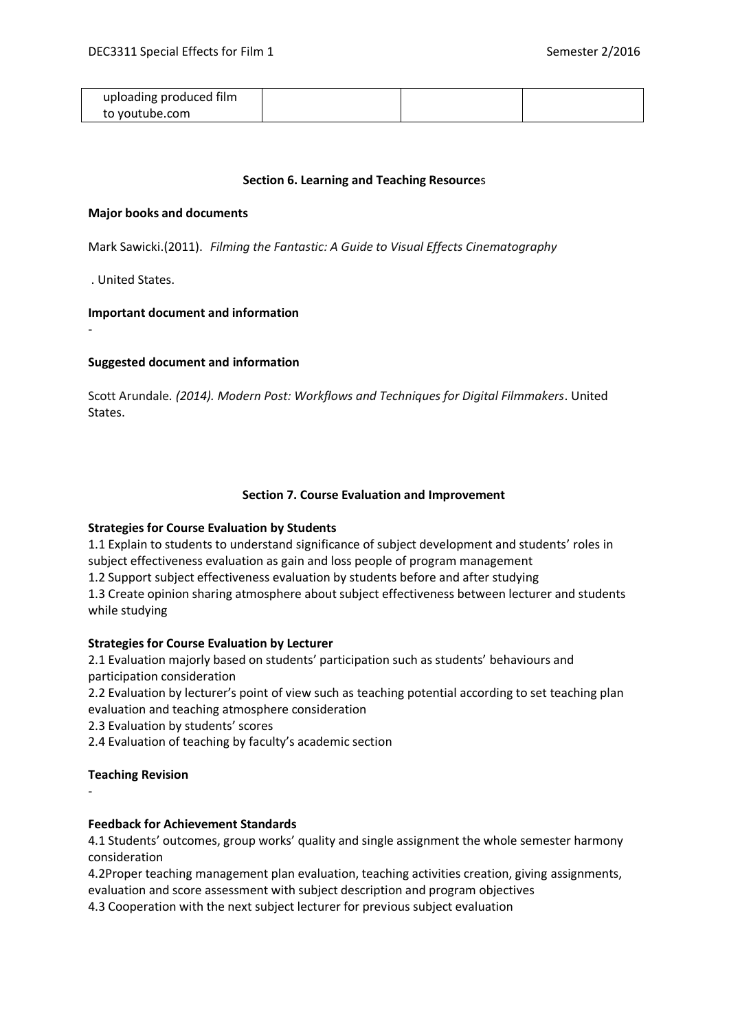| uploading produced film |  |  |
|-------------------------|--|--|
| to voutube.com          |  |  |

#### **Section 6. Learning and Teaching Resource**s

#### **Major books and documents**

Mark Sawicki.(2011). *Filming the Fantastic: A Guide to Visual Effects Cinematography*

. United States.

-

#### **Important document and information**

## **Suggested document and information**

Scott Arundale*. (2014). Modern Post: Workflows and Techniques for Digital Filmmakers*. United States.

#### **Section 7. Course Evaluation and Improvement**

## **Strategies for Course Evaluation by Students**

1.1 Explain to students to understand significance of subject development and students' roles in subject effectiveness evaluation as gain and loss people of program management

1.2 Support subject effectiveness evaluation by students before and after studying

1.3 Create opinion sharing atmosphere about subject effectiveness between lecturer and students while studying

## **Strategies for Course Evaluation by Lecturer**

2.1 Evaluation majorly based on students' participation such as students' behaviours and participation consideration

2.2 Evaluation by lecturer's point of view such as teaching potential according to set teaching plan evaluation and teaching atmosphere consideration

2.3 Evaluation by students' scores

2.4 Evaluation of teaching by faculty's academic section

## **Teaching Revision**

-

## **Feedback for Achievement Standards**

4.1 Students' outcomes, group works' quality and single assignment the whole semester harmony consideration

4.2Proper teaching management plan evaluation, teaching activities creation, giving assignments, evaluation and score assessment with subject description and program objectives

4.3 Cooperation with the next subject lecturer for previous subject evaluation